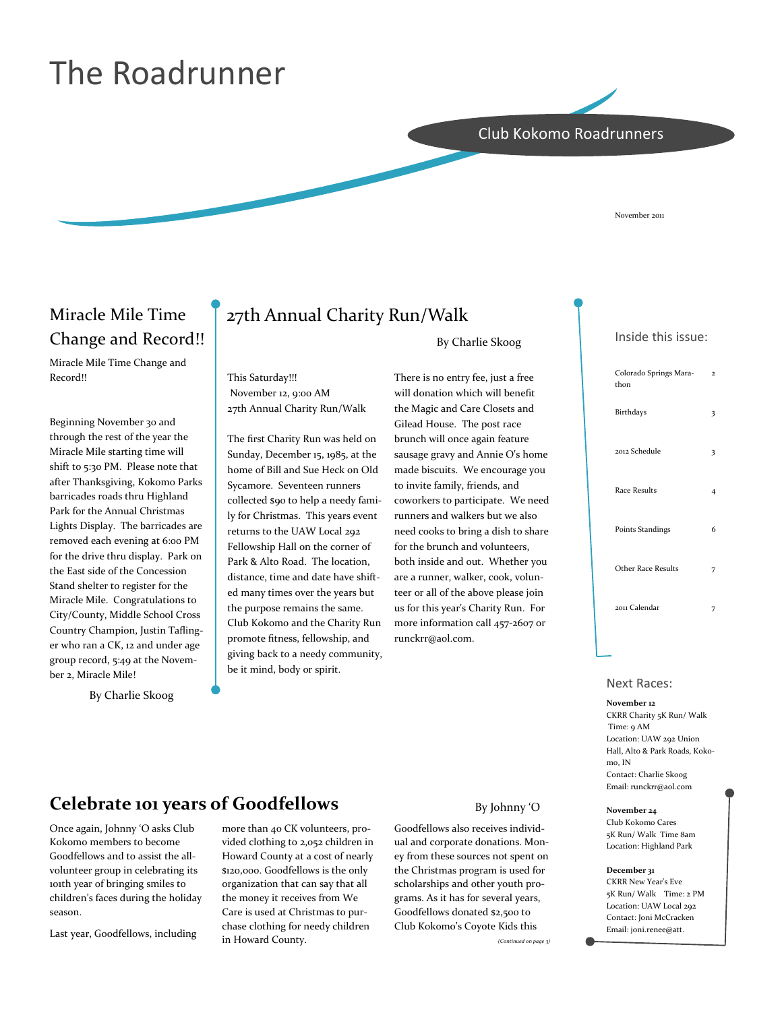# The Roadrunner

### Club Kokomo Roadrunners

November 2011

### Miracle Mile Time Change and Record!!

Miracle Mile Time Change and Record!!

Beginning November 30 and through the rest of the year the Miracle Mile starting time will shift to 5:30 PM. Please note that after Thanksgiving, Kokomo Parks barricades roads thru Highland Park for the Annual Christmas Lights Display. The barricades are removed each evening at 6:00 PM for the drive thru display. Park on the East side of the Concession Stand shelter to register for the Miracle Mile. Congratulations to City/County, Middle School Cross Country Champion, Justin Tafling‐ er who ran a CK, 12 and under age group record, 5:49 at the Novem‐ ber 2, Miracle Mile!

By Charlie Skoog

## 27th Annual Charity Run/Walk

This Saturday!!!

ly for Christmas. This years event returns to the UAW Local 292 Fellowship Hall on the corner of Park & Alto Road. The location, distance, time and date have shift‐ ed many times over the years but the purpose remains the same. Club Kokomo and the Charity Run promote fitness, fellowship, and giving back to a needy community,

be it mind, body or spirit.

By Charlie Skoog

 November 12, 9:00 AM 27th Annual Charity Run/Walk The first Charity Run was held on Sunday, December 15, 1985, at the home of Bill and Sue Heck on Old Sycamore. Seventeen runners collected \$90 to help a needy fami‐ There is no entry fee, just a free will donation which will benefit the Magic and Care Closets and Gilead House. The post race brunch will once again feature

sausage gravy and Annie O's home made biscuits. We encourage you to invite family, friends, and coworkers to participate. We need runners and walkers but we also need cooks to bring a dish to share for the brunch and volunteers, both inside and out. Whether you are a runner, walker, cook, volun‐ teer or all of the above please join us for this year's Charity Run. For more information call 457‐2607 or runckrr@aol.com.

### Inside this issue:

| Colorado Springs Mara-<br>thon | $\overline{2}$ |
|--------------------------------|----------------|
| Birthdays                      | 3              |
| 2012 Schedule                  | 3              |
| <b>Race Results</b>            | 4              |
| Points Standings               | 6              |
| <b>Other Race Results</b>      |                |
| 2011 Calendar                  |                |
|                                |                |

#### Next Races:

#### November 12

CKRR Charity 5K Run/ Walk Time: 9 AM Location: UAW 292 Union Hall, Alto & Park Roads, Koko‐ mo, IN Contact: Charlie Skoog Email: runckrr@aol.com

November 24 Club Kokomo Cares 5K Run/ Walk Time 8am

Location: Highland Park December 31 CKRR New Year's Eve 5K Run/ Walk Time: 2 PM Location: UAW Local 292 Contact: Joni McCracken Email: joni.renee@att.

### Celebrate 101 years of Goodfellows

Once again, Johnny 'O asks Club Kokomo members to become Goodfellows and to assist the all‐ volunteer group in celebrating its 101th year of bringing smiles to children's faces during the holiday season.

Last year, Goodfellows, including

more than 40 CK volunteers, pro‐ vided clothing to 2,052 children in Howard County at a cost of nearly \$120,000. Goodfellows is the only organization that can say that all the money it receives from We Care is used at Christmas to pur‐ chase clothing for needy children in Howard County.

#### By Johnny 'O

Goodfellows also receives individ‐ ual and corporate donations. Mon‐ ey from these sources not spent on the Christmas program is used for scholarships and other youth pro‐ grams. As it has for several years, Goodfellows donated \$2,500 to Club Kokomo's Coyote Kids this

(Continued on page 3)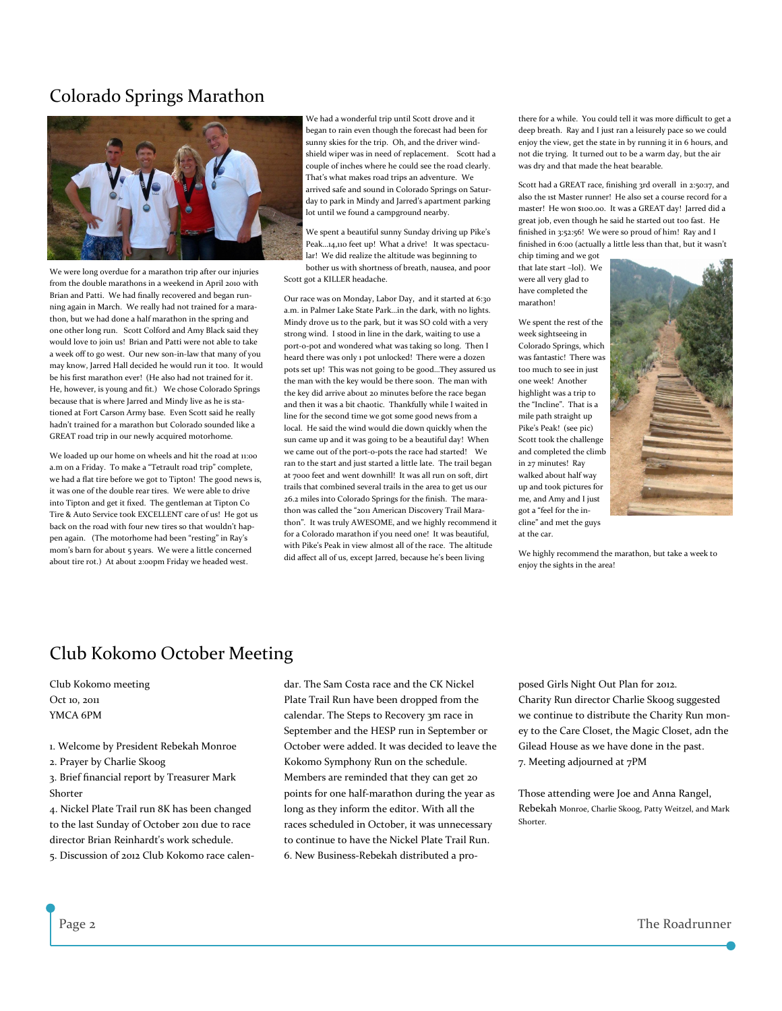### Colorado Springs Marathon



We were long overdue for a marathon trip after our injuries from the double marathons in a weekend in April 2010 with Brian and Patti. We had finally recovered and began running again in March. We really had not trained for a mara‐ thon, but we had done a half marathon in the spring and one other long run. Scott Colford and Amy Black said they would love to join us! Brian and Patti were not able to take a week off to go west. Our new son-in-law that many of you may know, Jarred Hall decided he would run it too. It would be his first marathon ever! (He also had not trained for it. He, however, is young and fit.) We chose Colorado Springs because that is where Jarred and Mindy live as he is stationed at Fort Carson Army base. Even Scott said he really hadn't trained for a marathon but Colorado sounded like a GREAT road trip in our newly acquired motorhome.

We loaded up our home on wheels and hit the road at 11:00 a.m on a Friday. To make a "Tetrault road trip" complete, we had a flat tire before we got to Tipton! The good news is, it was one of the double rear tires. We were able to drive into Tipton and get it fixed. The gentleman at Tipton Co Tire & Auto Service took EXCELLENT care of us! He got us back on the road with four new tires so that wouldn't happen again. (The motorhome had been "resting" in Ray's mom's barn for about 5 years. We were a little concerned about tire rot.) At about 2:00pm Friday we headed west.

We had a wonderful trip until Scott drove and it began to rain even though the forecast had been for sunny skies for the trip. Oh, and the driver wind‐ shield wiper was in need of replacement. Scott had a couple of inches where he could see the road clearly. That's what makes road trips an adventure. We arrived safe and sound in Colorado Springs on Satur‐ day to park in Mindy and Jarred's apartment parking lot until we found a campground nearby.

We spent a beautiful sunny Sunday driving up Pike's Peak...14,110 feet up! What a drive! It was spectacular! We did realize the altitude was beginning to bother us with shortness of breath, nausea, and poor Scott got a KILLER headache.

Our race was on Monday, Labor Day, and it started at 6:30 a.m. in Palmer Lake State Park…in the dark, with no lights. Mindy drove us to the park, but it was SO cold with a very strong wind. I stood in line in the dark, waiting to use a port‐o‐pot and wondered what was taking so long. Then I heard there was only 1 pot unlocked! There were a dozen pots set up! This was not going to be good…They assured us the man with the key would be there soon. The man with the key did arrive about 20 minutes before the race began and then it was a bit chaotic. Thankfully while I waited in line for the second time we got some good news from a local. He said the wind would die down quickly when the sun came up and it was going to be a beautiful day! When we came out of the port-o-pots the race had started! We ran to the start and just started a little late. The trail began at 7000 feet and went downhill! It was all run on soft, dirt trails that combined several trails in the area to get us our 26.2 miles into Colorado Springs for the finish. The mara‐ thon was called the "2011 American Discovery Trail Marathon". It was truly AWESOME, and we highly recommend it for a Colorado marathon if you need one! It was beautiful, with Pike's Peak in view almost all of the race. The altitude did affect all of us, except Jarred, because he's been living

there for a while. You could tell it was more difficult to get a deep breath. Ray and I just ran a leisurely pace so we could enjoy the view, get the state in by running it in 6 hours, and not die trying. It turned out to be a warm day, but the air was dry and that made the heat bearable.

Scott had a GREAT race, finishing 3rd overall in 2:50:17, and also the 1st Master runner! He also set a course record for a master! He won \$100.00. It was a GREAT day! Jarred did a great job, even though he said he started out too fast. He finished in 3:52:56! We were so proud of him! Ray and I finished in 6:00 (actually a little less than that, but it wasn't

chip timing and we got that late start –lol). We were all very glad to have completed the marathon!

We spent the rest of the week sightseeing in Colorado Springs, which was fantastic! There was too much to see in just one week! Another highlight was a trip to the "Incline". That is a mile path straight up Pike's Peak! (see pic) Scott took the challenge and completed the climb in 27 minutes! Ray walked about half way up and took pictures for me, and Amy and I just got a "feel for the in‐ cline" and met the guys at the car.



We highly recommend the marathon, but take a week to enjoy the sights in the area!

### Club Kokomo October Meeting

Club Kokomo meeting  $Oct$  10, 2011 YMCA 6PM

- 1. Welcome by President Rebekah Monroe
- 2. Prayer by Charlie Skoog
- 3. Brief financial report by Treasurer Mark Shorter

4. Nickel Plate Trail run 8K has been changed to the last Sunday of October 2011 due to race director Brian Reinhardt's work schedule.

5. Discussion of 2012 Club Kokomo race calen‐

dar. The Sam Costa race and the CK Nickel Plate Trail Run have been dropped from the calendar. The Steps to Recovery 3m race in September and the HESP run in September or October were added. It was decided to leave the Kokomo Symphony Run on the schedule. Members are reminded that they can get 20 points for one half‐marathon during the year as long as they inform the editor. With all the races scheduled in October, it was unnecessary to continue to have the Nickel Plate Trail Run. 6. New Business‐Rebekah distributed a pro‐

posed Girls Night Out Plan for 2012. Charity Run director Charlie Skoog suggested we continue to distribute the Charity Run money to the Care Closet, the Magic Closet, adn the Gilead House as we have done in the past. 7. Meeting adjourned at 7PM

Those attending were Joe and Anna Rangel, Rebekah Monroe, Charlie Skoog, Patty Weitzel, and Mark Shorter.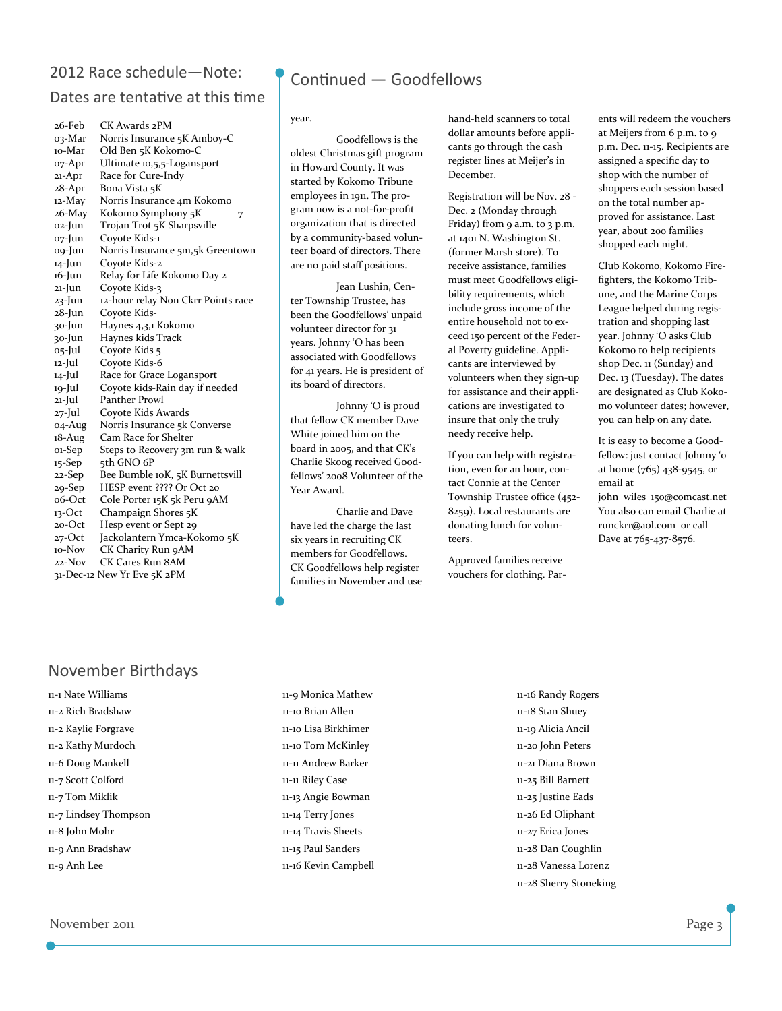### 2012 Race schedule—Note:

### Dates are tentative at this time

| 26-Feb                      | CK Awards 2PM                      |  |  |
|-----------------------------|------------------------------------|--|--|
| 03-Mar                      | Norris Insurance 5K Amboy-C        |  |  |
| 10-Mar                      | Old Ben 5K Kokomo-C                |  |  |
| 07-Apr                      | Ultimate 10,5,5-Logansport         |  |  |
| 21-Apr                      | Race for Cure-Indy                 |  |  |
| 28-Apr                      | Bona Vista 5K                      |  |  |
| 12-May                      | Norris Insurance 4m Kokomo         |  |  |
| 26-May                      | Kokomo Symphony 5K<br>7            |  |  |
| o2-Jun                      | Trojan Trot 5K Sharpsville         |  |  |
| o7-Jun                      | Coyote Kids-1                      |  |  |
| o9-Jun                      | Norris Insurance 5m,5k Greentown   |  |  |
| 14-Jun                      | Coyote Kids-2                      |  |  |
| 16-Jun                      | Relay for Life Kokomo Day 2        |  |  |
| 21-Jun                      | Coyote Kids-3                      |  |  |
| 23-Jun                      | 12-hour relay Non Ckrr Points race |  |  |
| 28-Jun                      | Coyote Kids-                       |  |  |
| 30-Jun                      | Haynes 4,3,1 Kokomo                |  |  |
| 30-Jun                      | Haynes kids Track                  |  |  |
| o5-Jul                      | Coyote Kids 5                      |  |  |
| 12-Jul                      | Coyote Kids-6                      |  |  |
| 14-Jul                      | Race for Grace Logansport          |  |  |
| 19-Jul                      | Coyote kids-Rain day if needed     |  |  |
| 21-Jul                      | Panther Prowl                      |  |  |
| 27-Jul                      | Coyote Kids Awards                 |  |  |
| 04-Aug                      | Norris Insurance 5k Converse       |  |  |
| 18-Aug                      | Cam Race for Shelter               |  |  |
| 01-Sep                      | Steps to Recovery 3m run & walk    |  |  |
| 15-Sep                      | 5th GNO 6P                         |  |  |
| 22-Sep                      | Bee Bumble 10K, 5K Burnettsvill    |  |  |
| 29-Sep                      | HESP event ???? Or Oct 20          |  |  |
| o6-Oct                      | Cole Porter 15K 5k Peru 9AM        |  |  |
| 13-Oct                      | Champaign Shores 5K                |  |  |
| 20-Oct                      | Hesp event or Sept 29              |  |  |
| $27$ -Oct                   | Jackolantern Ymca-Kokomo 5K        |  |  |
| 10-Nov                      | CK Charity Run 9AM                 |  |  |
| 22-Nov                      | CK Cares Run 8AM                   |  |  |
| 31-Dec-12 New Yr Eve 5K 2PM |                                    |  |  |

### November Birthdays

11‐1 Nate Williams 11‐2 Rich Bradshaw 11‐2 Kaylie Forgrave 11‐2 Kathy Murdoch 11‐6 Doug Mankell 11‐7 Scott Colford 11‐7 Tom Miklik 11‐7 Lindsey Thompson 11‐8 John Mohr 11‐9 Ann Bradshaw 11‐9 Anh Lee

### Continued — Goodfellows

#### year.

 Goodfellows is the oldest Christmas gift program in Howard County. It was started by Kokomo Tribune employees in 1911. The pro‐ gram now is a not‐for‐profit organization that is directed by a community‐based volun‐ teer board of directors. There are no paid staff positions.

 Jean Lushin, Cen‐ ter Township Trustee, has been the Goodfellows' unpaid volunteer director for 31 years. Johnny 'O has been associated with Goodfellows for 41 years. He is president of its board of directors.

 Johnny 'O is proud that fellow CK member Dave White joined him on the board in 2005, and that CK's Charlie Skoog received Good‐ fellows' 2008 Volunteer of the Year Award.

 Charlie and Dave have led the charge the last six years in recruiting CK members for Goodfellows. CK Goodfellows help register families in November and use hand‐held scanners to total dollar amounts before appli‐ cants go through the cash register lines at Meijer's in December.

Registration will be Nov. 28 ‐ Dec. 2 (Monday through Friday) from 9 a.m. to 3 p.m. at 1401 N. Washington St. (former Marsh store). To receive assistance, families must meet Goodfellows eligi‐ bility requirements, which include gross income of the entire household not to ex‐ ceed 150 percent of the Feder‐ al Poverty guideline. Appli‐ cants are interviewed by volunteers when they sign‐up for assistance and their appli‐ cations are investigated to insure that only the truly needy receive help.

If you can help with registra‐ tion, even for an hour, contact Connie at the Center Township Trustee office (452‐ 8259). Local restaurants are donating lunch for volun‐ teers.

Approved families receive vouchers for clothing. Par‐

ents will redeem the vouchers at Meijers from 6 p.m. to 9 p.m. Dec. 11‐15. Recipients are assigned a specific day to shop with the number of shoppers each session based on the total number ap‐ proved for assistance. Last year, about 200 families shopped each night.

Club Kokomo, Kokomo Fire‐ fighters, the Kokomo Trib‐ une, and the Marine Corps League helped during regis‐ tration and shopping last year. Johnny 'O asks Club Kokomo to help recipients shop Dec. 11 (Sunday) and Dec. 13 (Tuesday). The dates are designated as Club Koko‐ mo volunteer dates; however, you can help on any date.

It is easy to become a Good‐ fellow: just contact Johnny '0 at home (765) 438‐9545, or email at john\_wiles\_150@comcast.net You also can email Charlie at runckrr@aol.com or call

Dave at 765‐437‐8576.

11‐9 Monica Mathew 11‐10 Brian Allen 11‐10 Lisa Birkhimer 11‐10 Tom McKinley 11‐11 Andrew Barker 11‐11 Riley Case 11‐13 Angie Bowman 11‐14 Terry Jones 11‐14 Travis Sheets 11‐15 Paul Sanders 11‐16 Kevin Campbell 11‐16 Randy Rogers 11‐18 Stan Shuey 11‐19 Alicia Ancil 11‐20 John Peters 11‐21 Diana Brown 11‐25 Bill Barnett 11‐25 Justine Eads 11‐26 Ed Oliphant 11‐27 Erica Jones 11‐28 Dan Coughlin 11‐28 Vanessa Lorenz 11‐28 Sherry Stoneking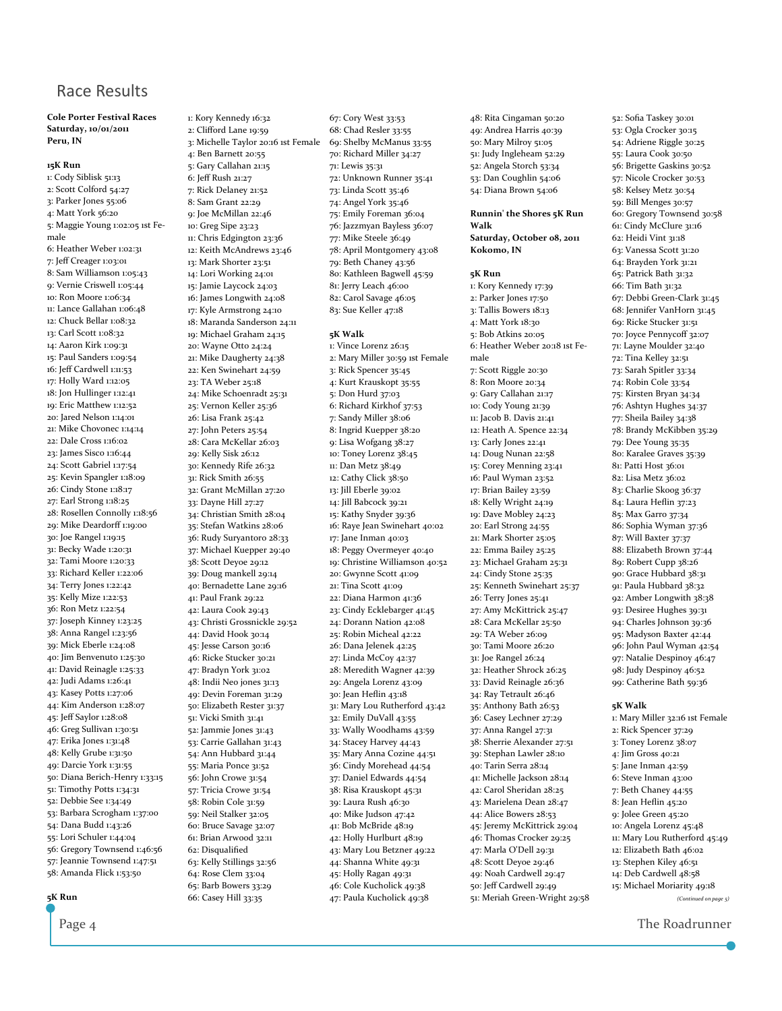### Race Results

#### Cole Porter Festival Races Saturday, 10/01/2011 Peru, IN

#### 15K Run

1: Cody Siblisk 51:13 2: Scott Colford 54:27 3: Parker Jones 55:06 4: Matt York 56:20 5: Maggie Young 1:02:05 1st Fe‐ male 6: Heather Weber 1:02:31 7: Jeff Creager 1:03:01 8: Sam Williamson 1:05:43 9: Vernie Criswell 1:05:44 10: Ron Moore 1:06:34 11: Lance Gallahan 1:06:48 12: Chuck Bellar 1:08:32 13: Carl Scott 1:08:32 14: Aaron Kirk 1:09:31 15: Paul Sanders 1:09:54 16: Jeff Cardwell 1:11:53 17: Holly Ward 1:12:05 18: Jon Hullinger 1:12:41 19: Eric Matthew 1:12:52 20: Jared Nelson 1:14:01 21: Mike Chovonec 1:14:14 22: Dale Cross 1:16:02 23: James Sisco 1:16:44 24: Scott Gabriel 1:17:54 25: Kevin Spangler 1:18:09 26: Cindy Stone 1:18:17 27: Earl Strong 1:18:25 28: Rosellen Connolly 1:18:56 29: Mike Deardorff 1:19:00 30: Joe Rangel 1:19:15 31: Becky Wade 1:20:31 32: Tami Moore 1:20:33 33: Richard Keller 1:22:06 34: Terry Jones 1:22:42 35: Kelly Mize 1:22:53 36: Ron Metz 1:22:54 37: Joseph Kinney 1:23:25 38: Anna Rangel 1:23:56 39: Mick Eberle 1:24:08 40: Jim Benvenuto 1:25:30 41: David Reinagle 1:25:33 42: Judi Adams 1:26:41 43: Kasey Potts 1:27:06 44: Kim Anderson 1:28:07 45: Jeff Saylor 1:28:08 46: Greg Sullivan 1:30:51 47: Erika Jones 1:31:48 48: Kelly Grube 1:31:50 49: Darcie York 1:31:55 50: Diana Berich‐Henry 1:33:15 51: Timothy Potts 1:34:31 52: Debbie See 1:34:49 53: Barbara Scrogham 1:37:00 54: Dana Budd 1:43:26 55: Lori Schuler 1:44:04 56: Gregory Townsend 1:46:56 57: Jeannie Townsend 1:47:51 58: Amanda Flick 1:53:50

1: Kory Kennedy 16:32 2: Clifford Lane 19:59 3: Michelle Taylor 20:16 1st Female 4: Ben Barnett 20:55 5: Gary Callahan 21:15 6: Jeff Rush 21:27 7: Rick Delaney 21:52 8: Sam Grant 22:29 9: Joe McMillan 22:46 10: Greg Sipe 23:23 11: Chris Edgington 23:36 12: Keith McAndrews 23:46 13: Mark Shorter 23:51 14: Lori Working 24:01 15: Jamie Laycock 24:03 16: James Longwith 24:08 17: Kyle Armstrong 24:10 18: Maranda Sanderson 24:11 19: Michael Graham 24:15 20: Wayne Otto 24:24 21: Mike Daugherty 24:38 22: Ken Swinehart 24:59 23: TA Weber 25:18 24: Mike Schoenradt 25:31 25: Vernon Keller 25:36 26: Lisa Frank 25:42 27: John Peters 25:54 28: Cara McKellar 26:03 29: Kelly Sisk 26:12 30: Kennedy Rife 26:32 31: Rick Smith 26:55 32: Grant McMillan 27:20 33: Dayne Hill 27:27 34: Christian Smith 28:04 35: Stefan Watkins 28:06 36: Rudy Suryantoro 28:33 37: Michael Kuepper 29:40 38: Scott Deyoe 29:12 39: Doug mankell 29:14 40: Bernadette Lane 29:16 41: Paul Frank 29:22 42: Laura Cook 29:43 43: Christi Grossnickle 29:52 44: David Hook 30:14 45: Jesse Carson 30:16 46: Ricke Stucker 30:21 47: Bradyn York 31:02 48: Indii Neo jones 31:13 49: Devin Foreman 31:29 50: Elizabeth Rester 31:37 51: Vicki Smith 31:41 52: Jammie Jones 31:43 53: Carrie Gallahan 31:43 54: Ann Hubbard 31:44 55: Maria Ponce 31:52 56: John Crowe 31:54 57: Tricia Crowe 31:54 58: Robin Cole 31:59 59: Neil Stalker 32:05 60: Bruce Savage 32:07 61: Brian Arwood 32:11 62: Disqualified 63: Kelly Stillings 32:56 64: Rose Clem 33:04 65: Barb Bowers 33:29

66: Casey Hill 33:35

67: Cory West 33:53 68: Chad Resler 33:55 69: Shelby McManus 33:55 70: Richard Miller 34:27 71: Lewis 35:31 72: Unknown Runner 35:41 73: Linda Scott 35:46 74: Angel York 35:46 75: Emily Foreman 36:04 76: Jazzmyan Bayless 36:07 77: Mike Steele 36:49 78: April Montgomery 43:08 79: Beth Chaney 43:56 80: Kathleen Bagwell 45:59 81: Jerry Leach 46:00 82: Carol Savage 46:05 83: Sue Keller 47:18

5K Walk 1: Vince Lorenz 26:15 2: Mary Miller 30:59 1st Female 3: Rick Spencer 35:45 4: Kurt Krauskopt 35:55 5: Don Hurd 37:03 6: Richard Kirkhof 37:53 7: Sandy Miller 38:06 8: Ingrid Kuepper 38:20 9: Lisa Wofgang 38:27 10: Toney Lorenz 38:45 11: Dan Metz 38:49 12: Cathy Click 38:50 13: Jill Eberle 39:02 14: Jill Babcock 39:21 15: Kathy Snyder 39:36 16: Raye Jean Swinehart 40:02 17: Jane Inman 40:03 18: Peggy Overmeyer 40:40 19: Christine Williamson 40:52 20: Gwynne Scott 41:09 21: Tina Scott 41:09 22: Diana Harmon 41:36 23: Cindy Ecklebarger 41:45 24: Dorann Nation 42:08 25: Robin Micheal 42:22 26: Dana Jelenek 42:25 27: Linda McCoy 42:37 28: Meredith Wagner 42:39 29: Angela Lorenz 43:09 30: Jean Heflin 43:18 31: Mary Lou Rutherford 43:42 32: Emily DuVall 43:55 33: Wally Woodhams 43:59 34: Stacey Harvey 44:43 35: Mary Anna Cozine 44:51 36: Cindy Morehead 44:54 37: Daniel Edwards 44:54 38: Risa Krauskopt 45:31 39: Laura Rush 46:30 40: Mike Judson 47:42 41: Bob McBride 48:19 42: Holly Hurlburt 48:19 43: Mary Lou Betzner 49:22 44: Shanna White 49:31 45: Holly Ragan 49:31 46: Cole Kucholick 49:38 47: Paula Kucholick 49:38

48: Rita Cingaman 50:20 49: Andrea Harris 40:39 50: Mary Milroy 51:05 51: Judy Ingleheam 52:29 52: Angela Storch 53:34 53: Dan Coughlin 54:06 54: Diana Brown 54:06

#### Runnin' the Shores 5K Run Walk

Saturday, October 08, 2011 Kokomo, IN

#### 5K Run

1: Kory Kennedy 17:39 2: Parker Jones 17:50 3: Tallis Bowers 18:13 4: Matt York 18:30 5: Bob Atkins 20:05 6: Heather Weber 20:18 1st Fe‐ male 7: Scott Riggle 20:30 8: Ron Moore 20:34 9: Gary Callahan 21:17 10: Cody Young 21:39 11: Jacob B. Davis 21:41 12: Heath A. Spence 22:34 13: Carly Jones 22:41 14: Doug Nunan 22:58 15: Corey Menning 23:41 16: Paul Wyman 23:52 17: Brian Bailey 23:59 18: Kelly Wright 24:19 19: Dave Mobley 24:23 20: Earl Strong 24:55 21: Mark Shorter 25:05 22: Emma Bailey 25:25 23: Michael Graham 25:31 24: Cindy Stone 25:35 25: Kenneth Swinehart 25:37 26: Terry Jones 25:41 27: Amy McKittrick 25:47 28: Cara McKellar 25:50 29: TA Weber 26:09 30: Tami Moore 26:20 31: Joe Rangel 26:24 32: Heather Shrock 26:25 33: David Reinagle 26:36 34: Ray Tetrault 26:46 35: Anthony Bath 26:53 36: Casey Lechner 27:29 37: Anna Rangel 27:31 38: Sherrie Alexander 27:51 39: Stephan Lawler 28:10 40: Tarin Serra 28:14 41: Michelle Jackson 28:14 42: Carol Sheridan 28:25 43: Marielena Dean 28:47 44: Alice Bowers 28:53 45: Jeremy McKittrick 29:04 46: Thomas Crocker 29:25 47: Marla O'Dell 29:31 48: Scott Deyoe 29:46 49: Noah Cardwell 29:47 50: Jeff Cardwell 29:49 51: Meriah Green‐Wright 29:58 53: Ogla Crocker 30:15 54: Adriene Riggle 30:25 55: Laura Cook 30:50 56: Brigette Gaskins 30:52 57: Nicole Crocker 30:53 58: Kelsey Metz 30:54 59: Bill Menges 30:57 60: Gregory Townsend 30:58 61: Cindy McClure 31:16 62: Heidi Vint 31:18 63: Vanessa Scott 31:20 64: Brayden York 31:21 65: Patrick Bath 31:32 66: Tim Bath 31:32 67: Debbi Green‐Clark 31:45 68: Jennifer VanHorn 31:45 69: Ricke Stucker 31:51 70: Joyce Pennycoff 32:07 71: Layne Moulder 32:40 72: Tina Kelley 32:51 73: Sarah Spitler 33:34 74: Robin Cole 33:54 75: Kirsten Bryan 34:34 76: Ashtyn Hughes 34:37 77: Sheila Bailey 34:38 78: Brandy McKibben 35:29 79: Dee Young 35:35 80: Karalee Graves 35:39 81: Patti Host 36:01 82: Lisa Metz 36:02 83: Charlie Skoog 36:37 84: Laura Heflin 37:23 85: Max Garro 37:34 86: Sophia Wyman 37:36 87: Will Baxter 37:37 88: Elizabeth Brown 37:44 89: Robert Cupp 38:26 90: Grace Hubbard 38:31 91: Paula Hubbard 38:32 92: Amber Longwith 38:38 93: Desiree Hughes 39:31 94: Charles Johnson 39:36 95: Madyson Baxter 42:44 96: John Paul Wyman 42:54 97: Natalie Despinoy 46:47 98: Judy Despinoy 46:52 99: Catherine Bath 59:36 5K Walk

52: Sofia Taskey 30:01

1: Mary Miller 32:16 1st Female 2: Rick Spencer 37:29 3: Toney Lorenz 38:07 4: Jim Gross 40:21 5: Jane Inman 42:59 6: Steve Inman 43:00 7: Beth Chaney 44:55 8: Jean Heflin 45:20 9: Jolee Green 45:20 10: Angela Lorenz 45:48 11: Mary Lou Rutherford 45:49 12: Elizabeth Bath 46:02 13: Stephen Kiley 46:51 14: Deb Cardwell 48:58 15: Michael Moriarity 49:18

(Continued on page 5)

Page 4 The Roadrunner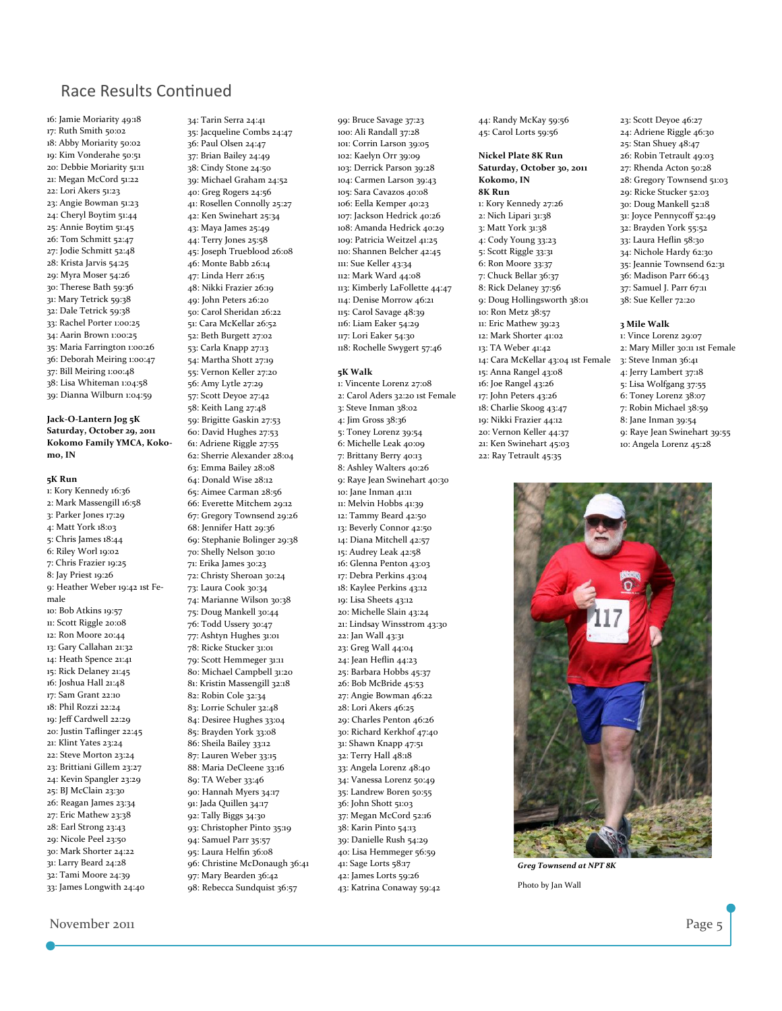### Race Results Continued

16: Jamie Moriarity 49:18 17: Ruth Smith 50:02 18: Abby Moriarity 50:02 19: Kim Vonderahe 50:51 20: Debbie Moriarity 51:11 21: Megan McCord 51:22 22: Lori Akers 51:23 23: Angie Bowman 51:23 24: Cheryl Boytim 51:44 25: Annie Boytim 51:45 26: Tom Schmitt 52:47 27: Jodie Schmitt 52:48 28: Krista Jarvis 54:25 29: Myra Moser 54:26 30: Therese Bath 59:36 31: Mary Tetrick 59:38 32: Dale Tetrick 59:38 33: Rachel Porter 1:00:25 34: Aarin Brown 1:00:25 35: Maria Farrington 1:00:26 36: Deborah Meiring 1:00:47 37: Bill Meiring 1:00:48 38: Lisa Whiteman 1:04:58 39: Dianna Wilburn 1:04:59

#### Jack-O-Lantern Jog 5K Saturday, October 29, 2011 Kokomo Family YMCA, Kokomo, IN

5K Run 1: Kory Kennedy 16:36 2: Mark Massengill 16:58 3: Parker Jones 17:29 4: Matt York 18:03 5: Chris James 18:44 6: Riley Worl 19:02 7: Chris Frazier 19:25 8: Jay Priest 19:26 9: Heather Weber 19:42 1st Fe‐ male 10: Bob Atkins 19:57 11: Scott Riggle 20:08 12: Ron Moore 20:44 13: Gary Callahan 21:32 14: Heath Spence 21:41 15: Rick Delaney 21:45 16: Joshua Hall 21:48 17: Sam Grant 22:10 18: Phil Rozzi 22:24 19: Jeff Cardwell 22:29 20: Justin Taflinger 22:45 21: Klint Yates 23:24 22: Steve Morton 23:24 23: Brittiani Gillem 23:27 24: Kevin Spangler 23:29 25: BJ McClain 23:30 26: Reagan James 23:34 27: Eric Mathew 23:38 28: Earl Strong 23:43 29: Nicole Peel 23:50 30: Mark Shorter 24:22 31: Larry Beard 24:28 32: Tami Moore 24:39 33: James Longwith 24:40

34: Tarin Serra 24:41 35: Jacqueline Combs 24:47 36: Paul Olsen 24:47 -<br>37: Brian Bailey 24:49 38: Cindy Stone 24:50 39: Michael Graham 24:52 40: Greg Rogers 24:56 41: Rosellen Connolly 25:27 42: Ken Swinehart 25:34 43: Maya James 25:49 44: Terry Jones 25:58 45: Joseph Trueblood 26:08 46: Monte Babb 26:14 47: Linda Herr 26:15 48: Nikki Frazier 26:19 49: John Peters 26:20 50: Carol Sheridan 26:22 51: Cara McKellar 26:52 52: Beth Burgett 27:02 53: Carla Knapp 27:13 54: Martha Shott 27:19 55: Vernon Keller 27:20 56: Amy Lytle 27:29 57: Scott Deyoe 27:42 58: Keith Lang 27:48 59: Brigitte Gaskin 27:53 60: David Hughes 27:53 61: Adriene Riggle 27:55 62: Sherrie Alexander 28:04 63: Emma Bailey 28:08 64: Donald Wise 28:12 65: Aimee Carman 28:56 66: Everette Mitchem 29:12 67: Gregory Townsend 29:26 68: Jennifer Hatt 29:36 69: Stephanie Bolinger 29:38 70: Shelly Nelson 30:10 71: Erika James 30:23 72: Christy Sheroan 30:24 73: Laura Cook 30:34 74: Marianne Wilson 30:38 75: Doug Mankell 30:44 76: Todd Ussery 30:47 77: Ashtyn Hughes 31:01 78: Ricke Stucker 31:01 79: Scott Hemmeger 31:11 80: Michael Campbell 31:20 81: Kristin Massengill 32:18 82: Robin Cole 32:34 83: Lorrie Schuler 32:48 84: Desiree Hughes 33:04 85: Brayden York 33:08 86: Sheila Bailey 33:12 87: Lauren Weber 33:15 88: Maria DeCleene 33:16 89: TA Weber 33:46 90: Hannah Myers 34:17 91: Jada Quillen 34:17 92: Tally Biggs 34:30 93: Christopher Pinto 35:19 94: Samuel Parr 35:57 95: Laura Helfin 36:08 96: Christine McDonaugh 36:41 97: Mary Bearden 36:42 98: Rebecca Sundquist 36:57

99: Bruce Savage 37:23 100: Ali Randall 37:28 101: Corrin Larson 39:05 102: Kaelyn Orr 39:09 103: Derrick Parson 39:28 104: Carmen Larson 39:43 105: Sara Cavazos 40:08 106: Eella Kemper 40:23 107: Jackson Hedrick 40:26 108: Amanda Hedrick 40:29 109: Patricia Weitzel 41:25 110: Shannen Belcher 42:45 111: Sue Keller 43:34 112: Mark Ward 44:08 113: Kimberly LaFollette 44:47 114: Denise Morrow 46:21 115: Carol Savage 48:39 116: Liam Eaker 54:29 117: Lori Eaker 54:30 118: Rochelle Swygert 57:46 5K Walk 1: Vincente Lorenz 27:08 2: Carol Aders 32:20 1st Female 3: Steve Inman 38:02 4: Jim Gross 38:36

5: Toney Lorenz 39:54 6: Michelle Leak 40:09 7: Brittany Berry 40:13 8: Ashley Walters 40:26 9: Raye Jean Swinehart 40:30 10: Jane Inman 41:11 11: Melvin Hobbs 41:39 12: Tammy Beard 42:50 13: Beverly Connor 42:50 14: Diana Mitchell 42:57 15: Audrey Leak 42:58 16: Glenna Penton 43:03 17: Debra Perkins 43:04 18: Kaylee Perkins 43:12 19: Lisa Sheets 43:12 20: Michelle Slain 43:24 21: Lindsay Winsstrom 43:30 22: Jan Wall 43:31 23: Greg Wall 44:04 24: Jean Heflin 44:23 25: Barbara Hobbs 45:37 26: Bob McBride 45:53 27: Angie Bowman 46:22 28: Lori Akers 46:25 29: Charles Penton 46:26 30: Richard Kerkhof 47:40 31: Shawn Knapp 47:51 32: Terry Hall 48:18 33: Angela Lorenz 48:40 34: Vanessa Lorenz 50:49 35: Landrew Boren 50:55 36: John Shott 51:03 37: Megan McCord 52:16 38: Karin Pinto 54:13 39: Danielle Rush 54:29 40: Lisa Hemmeger 56:59 41: Sage Lorts 58:17 42: James Lorts 59:26 43: Katrina Conaway 59:42

44: Randy McKay 59:56 45: Carol Lorts 59:56

#### Nickel Plate 8K Run Saturday, October 30, 2011 Kokomo, IN 8K Run 1: Kory Kennedy 27:26 2: Nich Lipari 31:38 3: Matt York 31:38 4: Cody Young 33:23 5: Scott Riggle 33:31 6: Ron Moore 33:37 7: Chuck Bellar 36:37 8: Rick Delaney 37:56 9: Doug Hollingsworth 38:01 10: Ron Metz 38:57 11: Eric Mathew 39:23 12: Mark Shorter 41:02 13: TA Weber 41:42 14: Cara McKellar 43:04 1st Female 15: Anna Rangel 43:08 16: Joe Rangel 43:26 17: John Peters 43:26 18: Charlie Skoog 43:47 19: Nikki Frazier 44:12 20: Vernon Keller 44:37 21: Ken Swinehart 45:03 22: Ray Tetrault 45:35

23: Scott Deyoe 46:27 24: Adriene Riggle 46:30 25: Stan Shuey 48:47 26: Robin Tetrault 49:03 27: Rhenda Acton 50:28 28: Gregory Townsend 51:03 29: Ricke Stucker 52:03 30: Doug Mankell 52:18 31: Joyce Pennycoff 52:49 32: Brayden York 55:52 33: Laura Heflin 58:30 34: Nichole Hardy 62:30 35: Jeannie Townsend 62:31 36: Madison Parr 66:43 37: Samuel J. Parr 67:11 38: Sue Keller 72:20

#### 3 Mile Walk

- 1: Vince Lorenz 29:07
- 2: Mary Miller 30:11 1st Female 3: Steve Inman 36:41
- 4: Jerry Lambert 37:18
- 5: Lisa Wolfgang 37:55
- 6: Toney Lorenz 38:07
- 7: Robin Michael 38:59
- 8: Jane Inman 39:54
- 9: Raye Jean Swinehart 39:55 10: Angela Lorenz 45:28



Greg Townsend at NPT 8K Photo by Jan Wall

November 2011 **Page 5**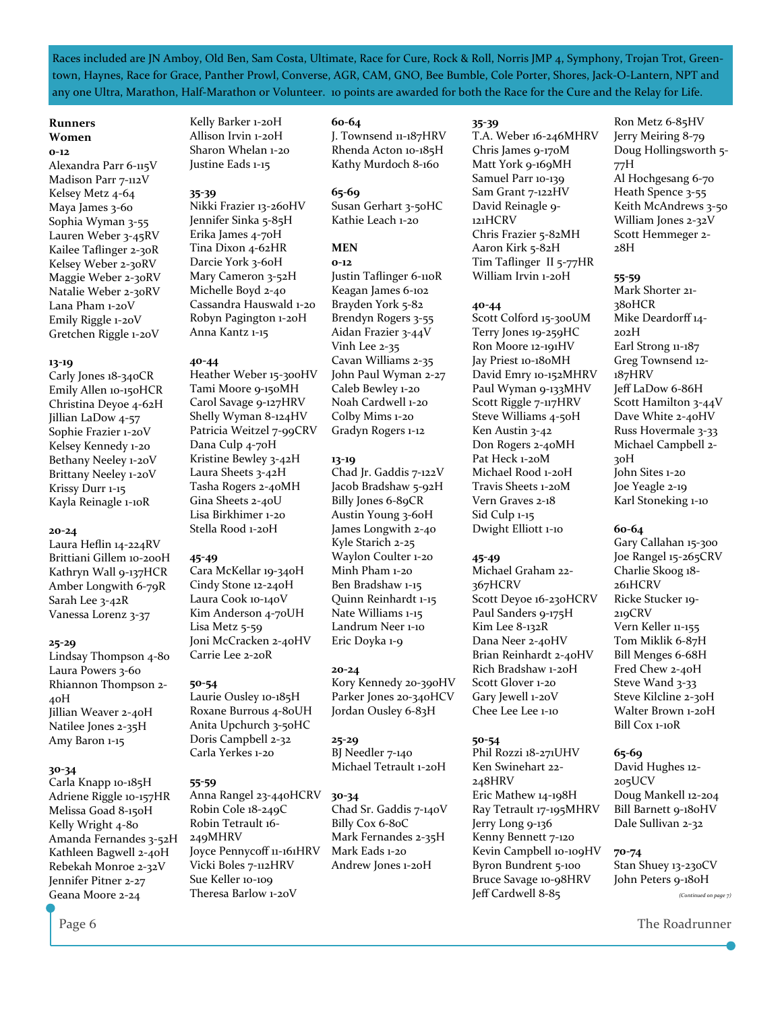Races included are JN Amboy, Old Ben, Sam Costa, Ultimate, Race for Cure, Rock & Roll, Norris JMP 4, Symphony, Trojan Trot, Greentown, Haynes, Race for Grace, Panther Prowl, Converse, AGR, CAM, GNO, Bee Bumble, Cole Porter, Shores, Jack‐O‐Lantern, NPT and any one Ultra, Marathon, Half‐Marathon or Volunteer. 10 points are awarded for both the Race for the Cure and the Relay for Life.

#### Runners Women

#### 0-12

Alexandra Parr 6‐115V Madison Parr 7-112V Kelsey Metz 4‐64 Maya James 3‐60 Sophia Wyman 3‐55 Lauren Weber 3‐45RV Kailee Taflinger 2‐30R Kelsey Weber 2‐30RV Maggie Weber 2‐30RV Natalie Weber 2‐30RV Lana Pham 1‐20V Emily Riggle 1‐20V Gretchen Riggle 1‐20V

#### 13-19

Carly Jones 18‐340CR Emily Allen 10‐150HCR Christina Deyoe 4‐62H Jillian LaDow 4‐57 Sophie Frazier 1‐20V Kelsey Kennedy 1‐20 Bethany Neeley 1‐20V Brittany Neeley 1‐20V Krissy Durr 1‐15 Kayla Reinagle 1‐10R

#### 20-24

Laura Heflin 14‐224RV Brittiani Gillem 10‐200H Kathryn Wall 9‐137HCR Amber Longwith 6‐79R Sarah Lee 3‐42R Vanessa Lorenz 3‐37

#### 25-29

Lindsay Thompson 4‐80 Laura Powers 3-60 Rhiannon Thompson 2‐ 40H Jillian Weaver 2‐40H Natilee Jones 2‐35H Amy Baron 1‐15

#### 30-34

Carla Knapp 10‐185H Adriene Riggle 10‐157HR Melissa Goad 8‐150H Kelly Wright 4-80 Amanda Fernandes 3‐52H Kathleen Bagwell 2‐40H Rebekah Monroe 2‐32V Jennifer Pitner 2‐27 Geana Moore 2‐24

Kelly Barker 1‐20H Allison Irvin 1‐20H Sharon Whelan 1‐20 Justine Eads 1‐15

#### 35-39

Nikki Frazier 13‐260HV Jennifer Sinka 5‐85H Erika James 4‐70H Tina Dixon 4‐62HR Darcie York 3‐60H Mary Cameron 3‐52H Michelle Boyd 2‐40 Cassandra Hauswald 1‐20 Robyn Pagington 1‐20H Anna Kantz 1‐15

#### 40-44

Heather Weber 15‐300HV Tami Moore 9‐150MH Carol Savage 9‐127HRV Shelly Wyman 8‐124HV Patricia Weitzel 7‐99CRV Dana Culp 4‐70H Kristine Bewley 3‐42H Laura Sheets 3‐42H Tasha Rogers 2‐40MH Gina Sheets 2‐40U Lisa Birkhimer 1‐20 Stella Rood 1‐20H

#### 45-49

Cara McKellar 19‐340H Cindy Stone 12‐240H Laura Cook 10‐140V Kim Anderson 4‐70UH Lisa Metz 5‐59 Joni McCracken 2‐40HV Carrie Lee 2‐20R

#### 50-54

Laurie Ousley 10‐185H Roxane Burrous 4‐80UH Anita Upchurch 3‐50HC Doris Campbell 2‐32 Carla Yerkes 1‐20

#### 55-59

Anna Rangel 23‐440HCRV Robin Cole 18‐249C Robin Tetrault 16‐ 249MHRV Joyce Pennycoff 11‐161HRV Vicki Boles 7‐112HRV Sue Keller 10‐109 Theresa Barlow 1‐20V

60-64 J. Townsend 11‐187HRV Rhenda Acton 10‐185H Kathy Murdoch 8‐160

65-69 Susan Gerhart 3‐50HC Kathie Leach 1‐20

### **MEN**

0-12 Justin Taflinger 6‐110R Keagan James 6‐102 Brayden York 5‐82 Brendyn Rogers 3‐55 Aidan Frazier 3‐44V Vinh Lee 2‐35 Cavan Williams 2‐35 John Paul Wyman 2‐27 Caleb Bewley 1‐20 Noah Cardwell 1‐20 Colby Mims 1‐20 Gradyn Rogers 1‐12

#### 13-19

Chad Jr. Gaddis 7‐122V Jacob Bradshaw 5‐92H Billy Jones 6‐89CR Austin Young 3‐60H James Longwith 2‐40 Kyle Starich 2‐25 Waylon Coulter 1‐20 Minh Pham 1‐20 Ben Bradshaw 1‐15 Quinn Reinhardt 1‐15 Nate Williams 1‐15 Landrum Neer 1‐10 Eric Doyka 1‐9

#### 20-24

Kory Kennedy 20‐390HV Parker Jones 20‐340HCV Jordan Ousley 6‐83H

25-29 BJ Needler 7‐140 Michael Tetrault 1‐20H

30-34 Chad Sr. Gaddis 7‐140V Billy Cox 6‐80C Mark Fernandes 2‐35H Mark Eads 1‐20 Andrew Jones 1‐20H

#### 35-39

T.A. Weber 16‐246MHRV Chris James 9‐170M Matt York 9‐169MH Samuel Parr 10‐139 Sam Grant 7‐122HV David Reinagle 9‐ 121HCRV Chris Frazier 5‐82MH Aaron Kirk 5‐82H Tim Taflinger II 5‐77HR William Irvin 1‐20H

#### 40-44

Scott Colford 15‐300UM Terry Jones 19‐259HC Ron Moore 12‐191HV Jay Priest 10‐180MH David Emry 10‐152MHRV Paul Wyman 9‐133MHV Scott Riggle 7‐117HRV Steve Williams 4‐50H Ken Austin 3‐42 Don Rogers 2‐40MH Pat Heck 1‐20M Michael Rood 1‐20H Travis Sheets 1‐20M Vern Graves 2‐18 Sid Culp 1‐15 Dwight Elliott 1‐10

#### 45-49

Michael Graham 22‐ 367HCRV Scott Deyoe 16‐230HCRV Paul Sanders 9‐175H Kim Lee 8‐132R Dana Neer 2‐40HV Brian Reinhardt 2‐40HV Rich Bradshaw 1‐20H Scott Glover 1‐20 Gary Jewell 1‐20V Chee Lee Lee 1‐10

#### 50-54

Phil Rozzi 18‐271UHV Ken Swinehart 22‐ 248HRV Eric Mathew 14‐198H Ray Tetrault 17‐195MHRV Jerry Long 9‐136 Kenny Bennett 7‐120 Kevin Campbell 10‐109HV Byron Bundrent 5‐100 Bruce Savage 10‐98HRV Jeff Cardwell 8‐85

Ron Metz 6‐85HV Jerry Meiring 8‐79 Doug Hollingsworth 5‐ 77H Al Hochgesang 6‐70 Heath Spence 3‐55 Keith McAndrews 3‐50 William Jones 2-32V Scott Hemmeger 2‐ 28H

#### 55-59

Mark Shorter 21‐ 380HCR Mike Deardorff 14‐ 202H Earl Strong 11‐187 Greg Townsend 12‐ 187HRV Jeff LaDow 6‐86H Scott Hamilton 3‐44V Dave White 2‐40HV Russ Hovermale 3‐33 Michael Campbell 2‐ 30H John Sites 1‐20 Joe Yeagle 2‐19 Karl Stoneking 1‐10

#### 60-64

Gary Callahan 15‐300 Joe Rangel 15‐265CRV Charlie Skoog 18‐ 261HCRV Ricke Stucker 19‐ 219CRV Vern Keller 11‐155 Tom Miklik 6‐87H Bill Menges 6‐68H Fred Chew 2‐40H Steve Wand 3‐33 Steve Kilcline 2-30H Walter Brown 1‐20H Bill Cox 1‐10R

#### 65-69

David Hughes 12‐ 205UCV Doug Mankell 12‐204 Bill Barnett 9‐180HV Dale Sullivan 2‐32

#### 70-74 Stan Shuey 13‐230CV John Peters 9‐180H (Continued on page 7)

Page 6 The Roadrunner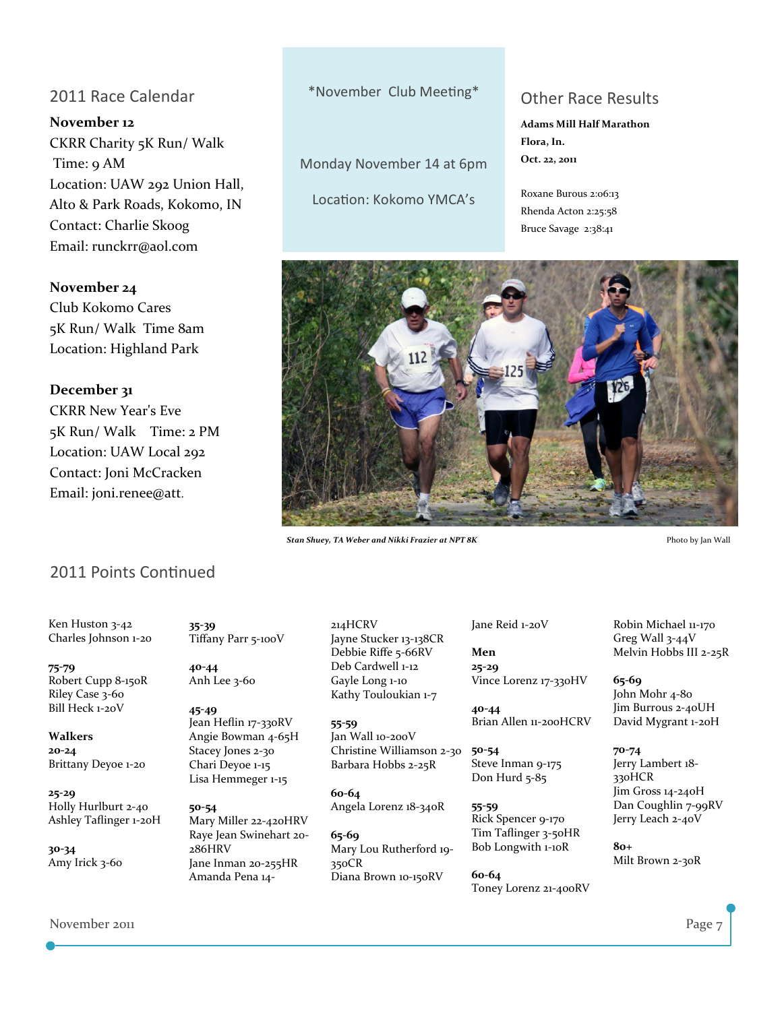### 2011 Race Calendar

November 12 CKRR Charity 5K Run/ Walk Time: 9 AM Location: UAW 292 Union Hall, Alto & Park Roads, Kokomo, IN Contact: Charlie Skoog Email: runckrr@aol.com

### November 24

Club Kokomo Cares 5K Run/ Walk Time 8am Location: Highland Park

### December 31

CKRR New Year's Eve 5K Run/ Walk Time: 2 PM Location: UAW Local 292 Contact: Joni McCracken Email: joni.renee@att.

\*November Club Meeting\*

Monday November 14 at 6pm

Location: Kokomo YMCA's

### Other Race Results

Adams Mill Half Marathon Flora, In. Oct. 22, 2011

Roxane Burous 2:06:13 Rhenda Acton 2:25:58 Bruce Savage 2:38:41



Stan Shuey, TA Weber and Nikki Frazier at NPT 8K Photo by Jan Wall

### 2011 Points Continued

Ken Huston 3‐42 Charles Johnson 1‐20

75-79 Robert Cupp 8‐150R Riley Case 3‐60 Bill Heck 1‐20V

#### Walkers 20-24 Brittany Deyoe 1‐20

25-29 Holly Hurlburt 2‐40 Ashley Taflinger 1‐20H

30-34 Amy Irick 3‐60

35-39 Tiffany Parr 5‐100V

40-44 Anh Lee 3‐60

45-49 Jean Heflin 17‐330RV Angie Bowman 4‐65H Stacey Jones 2‐30 Chari Deyoe 1‐15 Lisa Hemmeger 1‐15

50-54 Mary Miller 22‐420HRV Raye Jean Swinehart 20‐ 286HRV Jane Inman 20‐255HR Amanda Pena 14‐

214HCRV Jayne Stucker 13‐138CR Debbie Riffe 5‐66RV Deb Cardwell 1‐12 Gayle Long 1‐10 Kathy Touloukian 1-7

55-59 Jan Wall 10‐200V Christine Williamson 2‐30 Barbara Hobbs 2‐25R

60-64 Angela Lorenz 18‐340R

65-69 Mary Lou Rutherford 19‐ 350CR Diana Brown 10‐150RV

Jane Reid 1‐20V

Men 25-29 Vince Lorenz 17‐330HV

40-44 Brian Allen 11‐200HCRV

50-54 Steve Inman 9‐175 Don Hurd 5‐85

55-59 Rick Spencer 9‐170 Tim Taflinger 3‐50HR Bob Longwith 1‐10R

60-64 Toney Lorenz 21‐400RV Robin Michael 11‐170 Greg Wall 3‐44V Melvin Hobbs III 2‐25R

65-69 John Mohr 4‐80 Jim Burrous 2‐40UH David Mygrant 1‐20H

70-74 Jerry Lambert 18‐ 330HCR Jim Gross 14‐240H Dan Coughlin 7-99RV Jerry Leach 2‐40V

80+ Milt Brown 2‐30R

November 2011 **Page 7**